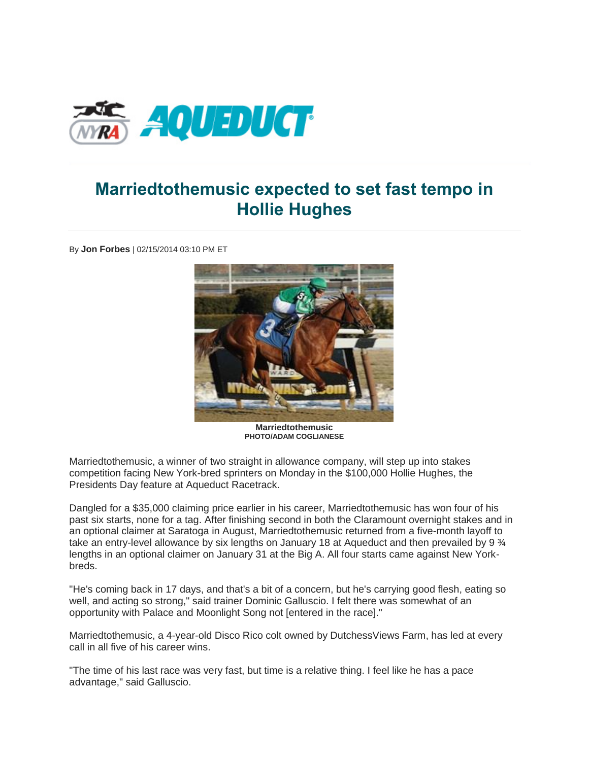

## **Marriedtothemusic expected to set fast tempo in Hollie Hughes**

By **Jon Forbes** | 02/15/2014 03:10 PM ET



**Marriedtothemusic PHOTO/ADAM COGLIANESE**

Marriedtothemusic, a winner of two straight in allowance company, will step up into stakes competition facing New York-bred sprinters on Monday in the \$100,000 Hollie Hughes, the Presidents Day feature at Aqueduct Racetrack.

Dangled for a \$35,000 claiming price earlier in his career, Marriedtothemusic has won four of his past six starts, none for a tag. After finishing second in both the Claramount overnight stakes and in an optional claimer at Saratoga in August, Marriedtothemusic returned from a five-month layoff to take an entry-level allowance by six lengths on January 18 at Aqueduct and then prevailed by 9  $\frac{3}{4}$ lengths in an optional claimer on January 31 at the Big A. All four starts came against New Yorkbreds.

"He's coming back in 17 days, and that's a bit of a concern, but he's carrying good flesh, eating so well, and acting so strong," said trainer Dominic Galluscio. I felt there was somewhat of an opportunity with Palace and Moonlight Song not [entered in the race]."

Marriedtothemusic, a 4-year-old Disco Rico colt owned by DutchessViews Farm, has led at every call in all five of his career wins.

"The time of his last race was very fast, but time is a relative thing. I feel like he has a pace advantage," said Galluscio.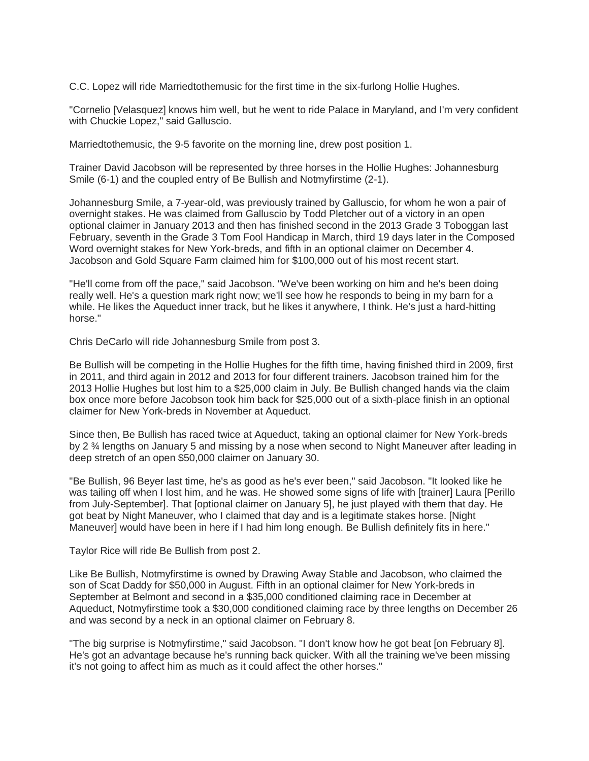C.C. Lopez will ride Marriedtothemusic for the first time in the six-furlong Hollie Hughes.

"Cornelio [Velasquez] knows him well, but he went to ride Palace in Maryland, and I'm very confident with Chuckie Lopez," said Galluscio.

Marriedtothemusic, the 9-5 favorite on the morning line, drew post position 1.

Trainer David Jacobson will be represented by three horses in the Hollie Hughes: Johannesburg Smile (6-1) and the coupled entry of Be Bullish and Notmyfirstime (2-1).

Johannesburg Smile, a 7-year-old, was previously trained by Galluscio, for whom he won a pair of overnight stakes. He was claimed from Galluscio by Todd Pletcher out of a victory in an open optional claimer in January 2013 and then has finished second in the 2013 Grade 3 Toboggan last February, seventh in the Grade 3 Tom Fool Handicap in March, third 19 days later in the Composed Word overnight stakes for New York-breds, and fifth in an optional claimer on December 4. Jacobson and Gold Square Farm claimed him for \$100,000 out of his most recent start.

"He'll come from off the pace," said Jacobson. "We've been working on him and he's been doing really well. He's a question mark right now; we'll see how he responds to being in my barn for a while. He likes the Aqueduct inner track, but he likes it anywhere, I think. He's just a hard-hitting horse."

Chris DeCarlo will ride Johannesburg Smile from post 3.

Be Bullish will be competing in the Hollie Hughes for the fifth time, having finished third in 2009, first in 2011, and third again in 2012 and 2013 for four different trainers. Jacobson trained him for the 2013 Hollie Hughes but lost him to a \$25,000 claim in July. Be Bullish changed hands via the claim box once more before Jacobson took him back for \$25,000 out of a sixth-place finish in an optional claimer for New York-breds in November at Aqueduct.

Since then, Be Bullish has raced twice at Aqueduct, taking an optional claimer for New York-breds by 2 ¾ lengths on January 5 and missing by a nose when second to Night Maneuver after leading in deep stretch of an open \$50,000 claimer on January 30.

"Be Bullish, 96 Beyer last time, he's as good as he's ever been," said Jacobson. "It looked like he was tailing off when I lost him, and he was. He showed some signs of life with [trainer] Laura [Perillo from July-September]. That [optional claimer on January 5], he just played with them that day. He got beat by Night Maneuver, who I claimed that day and is a legitimate stakes horse. [Night Maneuver] would have been in here if I had him long enough. Be Bullish definitely fits in here."

Taylor Rice will ride Be Bullish from post 2.

Like Be Bullish, Notmyfirstime is owned by Drawing Away Stable and Jacobson, who claimed the son of Scat Daddy for \$50,000 in August. Fifth in an optional claimer for New York-breds in September at Belmont and second in a \$35,000 conditioned claiming race in December at Aqueduct, Notmyfirstime took a \$30,000 conditioned claiming race by three lengths on December 26 and was second by a neck in an optional claimer on February 8.

"The big surprise is Notmyfirstime," said Jacobson. "I don't know how he got beat [on February 8]. He's got an advantage because he's running back quicker. With all the training we've been missing it's not going to affect him as much as it could affect the other horses."